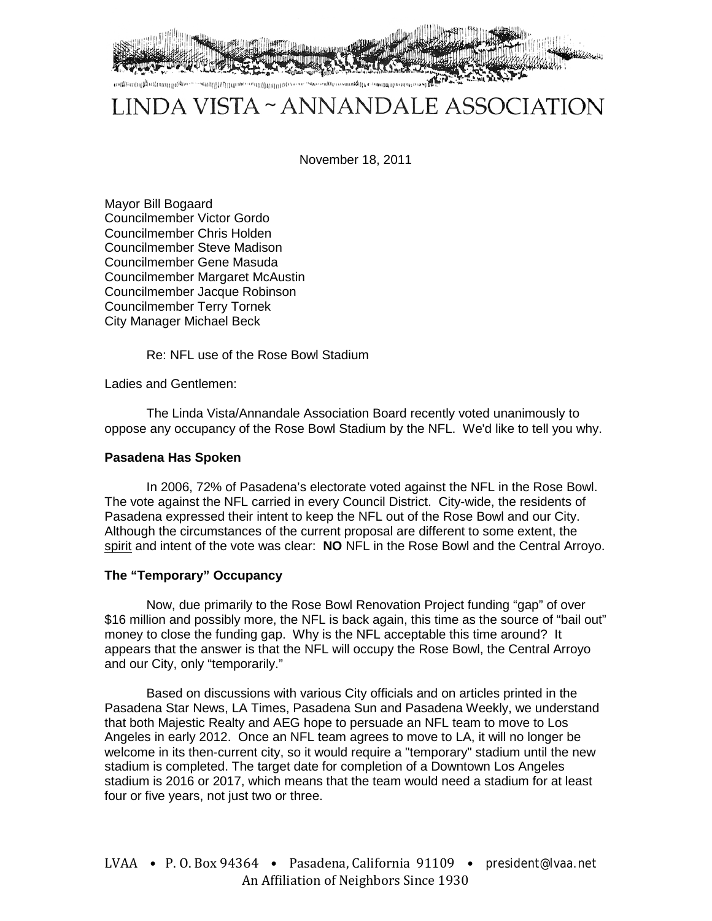

# LINDA VISTA ~ ANNANDALE ASSOCIATION

November 18, 2011

Mayor Bill Bogaard Councilmember Victor Gordo Councilmember Chris Holden Councilmember Steve Madison Councilmember Gene Masuda Councilmember Margaret McAustin Councilmember Jacque Robinson Councilmember Terry Tornek City Manager Michael Beck

Re: NFL use of the Rose Bowl Stadium

Ladies and Gentlemen:

The Linda Vista/Annandale Association Board recently voted unanimously to oppose any occupancy of the Rose Bowl Stadium by the NFL. We'd like to tell you why.

# **Pasadena Has Spoken**

In 2006, 72% of Pasadena's electorate voted against the NFL in the Rose Bowl. The vote against the NFL carried in every Council District. City-wide, the residents of Pasadena expressed their intent to keep the NFL out of the Rose Bowl and our City. Although the circumstances of the current proposal are different to some extent, the spirit and intent of the vote was clear: **NO** NFL in the Rose Bowl and the Central Arroyo.

# **The "Temporary" Occupancy**

Now, due primarily to the Rose Bowl Renovation Project funding "gap" of over \$16 million and possibly more, the NFL is back again, this time as the source of "bail out" money to close the funding gap. Why is the NFL acceptable this time around? It appears that the answer is that the NFL will occupy the Rose Bowl, the Central Arroyo and our City, only "temporarily."

Based on discussions with various City officials and on articles printed in the Pasadena Star News, LA Times, Pasadena Sun and Pasadena Weekly, we understand that both Majestic Realty and AEG hope to persuade an NFL team to move to Los Angeles in early 2012. Once an NFL team agrees to move to LA, it will no longer be welcome in its then-current city, so it would require a "temporary" stadium until the new stadium is completed. The target date for completion of a Downtown Los Angeles stadium is 2016 or 2017, which means that the team would need a stadium for at least four or five years, not just two or three.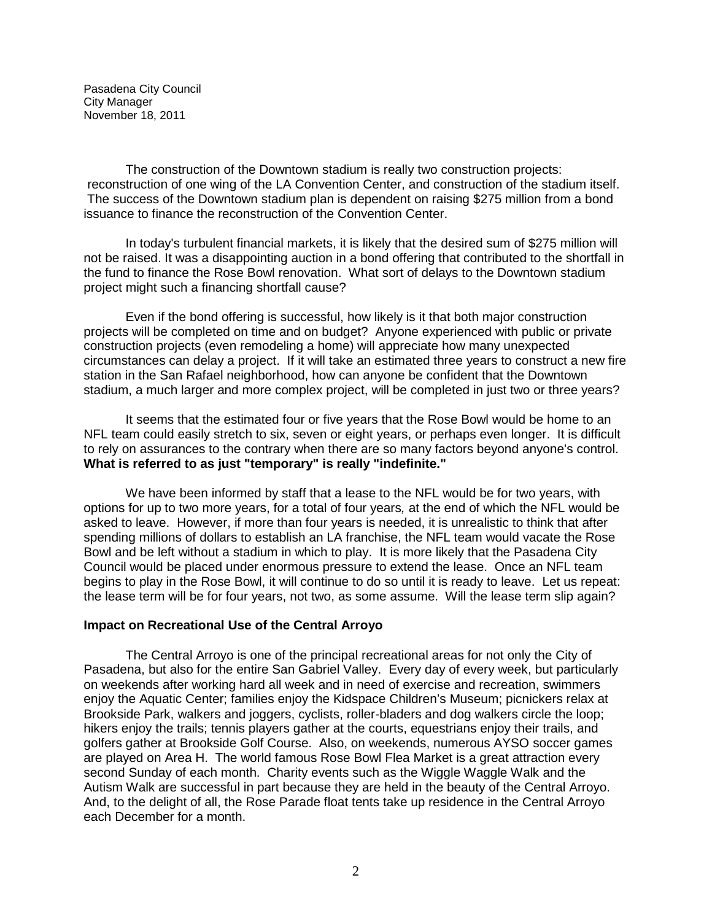Pasadena City Council City Manager November 18, 2011

The construction of the Downtown stadium is really two construction projects: reconstruction of one wing of the LA Convention Center, and construction of the stadium itself. The success of the Downtown stadium plan is dependent on raising \$275 million from a bond issuance to finance the reconstruction of the Convention Center.

In today's turbulent financial markets, it is likely that the desired sum of \$275 million will not be raised. It was a disappointing auction in a bond offering that contributed to the shortfall in the fund to finance the Rose Bowl renovation. What sort of delays to the Downtown stadium project might such a financing shortfall cause?

Even if the bond offering is successful, how likely is it that both major construction projects will be completed on time and on budget? Anyone experienced with public or private construction projects (even remodeling a home) will appreciate how many unexpected circumstances can delay a project. If it will take an estimated three years to construct a new fire station in the San Rafael neighborhood, how can anyone be confident that the Downtown stadium, a much larger and more complex project, will be completed in just two or three years?

It seems that the estimated four or five years that the Rose Bowl would be home to an NFL team could easily stretch to six, seven or eight years, or perhaps even longer. It is difficult to rely on assurances to the contrary when there are so many factors beyond anyone's control. **What is referred to as just "temporary" is really "indefinite."**

We have been informed by staff that a lease to the NFL would be for two years, with options for up to two more years, for a total of four years*,* at the end of which the NFL would be asked to leave. However, if more than four years is needed, it is unrealistic to think that after spending millions of dollars to establish an LA franchise, the NFL team would vacate the Rose Bowl and be left without a stadium in which to play. It is more likely that the Pasadena City Council would be placed under enormous pressure to extend the lease. Once an NFL team begins to play in the Rose Bowl, it will continue to do so until it is ready to leave. Let us repeat: the lease term will be for four years, not two, as some assume. Will the lease term slip again?

#### **Impact on Recreational Use of the Central Arroyo**

The Central Arroyo is one of the principal recreational areas for not only the City of Pasadena, but also for the entire San Gabriel Valley. Every day of every week, but particularly on weekends after working hard all week and in need of exercise and recreation, swimmers enjoy the Aquatic Center; families enjoy the Kidspace Children's Museum; picnickers relax at Brookside Park, walkers and joggers, cyclists, roller-bladers and dog walkers circle the loop; hikers enjoy the trails; tennis players gather at the courts, equestrians enjoy their trails, and golfers gather at Brookside Golf Course. Also, on weekends, numerous AYSO soccer games are played on Area H. The world famous Rose Bowl Flea Market is a great attraction every second Sunday of each month. Charity events such as the Wiggle Waggle Walk and the Autism Walk are successful in part because they are held in the beauty of the Central Arroyo. And, to the delight of all, the Rose Parade float tents take up residence in the Central Arroyo each December for a month.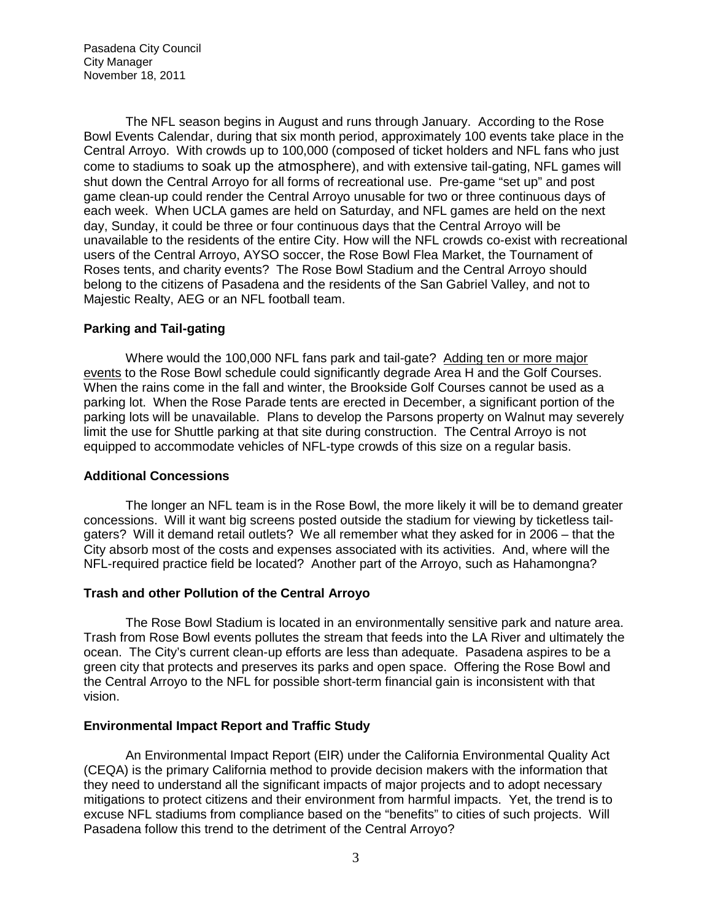Pasadena City Council City Manager November 18, 2011

The NFL season begins in August and runs through January. According to the Rose Bowl Events Calendar, during that six month period, approximately 100 events take place in the Central Arroyo. With crowds up to 100,000 (composed of ticket holders and NFL fans who just come to stadiums to soak up the atmosphere), and with extensive tail-gating, NFL games will shut down the Central Arroyo for all forms of recreational use. Pre-game "set up" and post game clean-up could render the Central Arroyo unusable for two or three continuous days of each week. When UCLA games are held on Saturday, and NFL games are held on the next day, Sunday, it could be three or four continuous days that the Central Arroyo will be unavailable to the residents of the entire City. How will the NFL crowds co-exist with recreational users of the Central Arroyo, AYSO soccer, the Rose Bowl Flea Market, the Tournament of Roses tents, and charity events? The Rose Bowl Stadium and the Central Arroyo should belong to the citizens of Pasadena and the residents of the San Gabriel Valley, and not to Majestic Realty, AEG or an NFL football team.

# **Parking and Tail-gating**

Where would the 100,000 NFL fans park and tail-gate? Adding ten or more major events to the Rose Bowl schedule could significantly degrade Area H and the Golf Courses. When the rains come in the fall and winter, the Brookside Golf Courses cannot be used as a parking lot. When the Rose Parade tents are erected in December, a significant portion of the parking lots will be unavailable. Plans to develop the Parsons property on Walnut may severely limit the use for Shuttle parking at that site during construction. The Central Arroyo is not equipped to accommodate vehicles of NFL-type crowds of this size on a regular basis.

### **Additional Concessions**

The longer an NFL team is in the Rose Bowl, the more likely it will be to demand greater concessions. Will it want big screens posted outside the stadium for viewing by ticketless tailgaters? Will it demand retail outlets? We all remember what they asked for in 2006 – that the City absorb most of the costs and expenses associated with its activities. And, where will the NFL-required practice field be located? Another part of the Arroyo, such as Hahamongna?

### **Trash and other Pollution of the Central Arroyo**

The Rose Bowl Stadium is located in an environmentally sensitive park and nature area. Trash from Rose Bowl events pollutes the stream that feeds into the LA River and ultimately the ocean. The City's current clean-up efforts are less than adequate. Pasadena aspires to be a green city that protects and preserves its parks and open space. Offering the Rose Bowl and the Central Arroyo to the NFL for possible short-term financial gain is inconsistent with that vision.

### **Environmental Impact Report and Traffic Study**

An Environmental Impact Report (EIR) under the California Environmental Quality Act (CEQA) is the primary California method to provide decision makers with the information that they need to understand all the significant impacts of major projects and to adopt necessary mitigations to protect citizens and their environment from harmful impacts. Yet, the trend is to excuse NFL stadiums from compliance based on the "benefits" to cities of such projects. Will Pasadena follow this trend to the detriment of the Central Arroyo?